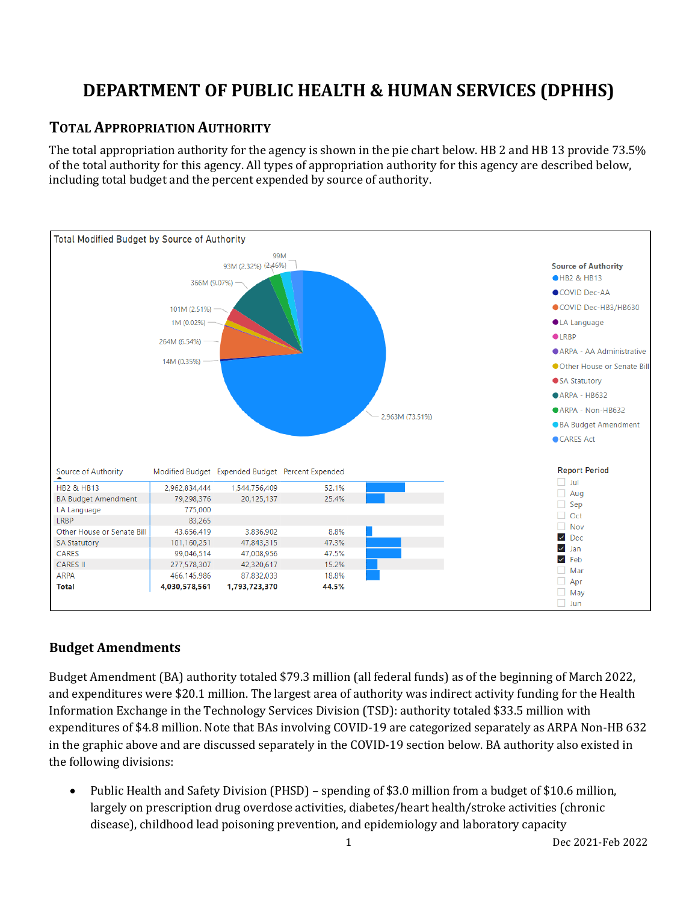# **DEPARTMENT OF PUBLIC HEALTH & HUMAN SERVICES (DPHHS)**

# **TOTAL APPROPRIATION AUTHORITY**

The total appropriation authority for the agency is shown in the pie chart below. HB 2 and HB 13 provide 73.5% of the total authority for this agency. All types of appropriation authority for this agency are described below, including total budget and the percent expended by source of authority.



## **Budget Amendments**

Budget Amendment (BA) authority totaled \$79.3 million (all federal funds) as of the beginning of March 2022, and expenditures were \$20.1 million. The largest area of authority was indirect activity funding for the Health Information Exchange in the Technology Services Division (TSD): authority totaled \$33.5 million with expenditures of \$4.8 million. Note that BAs involving COVID-19 are categorized separately as ARPA Non-HB 632 in the graphic above and are discussed separately in the COVID-19 section below. BA authority also existed in the following divisions:

• Public Health and Safety Division (PHSD) – spending of \$3.0 million from a budget of \$10.6 million, largely on prescription drug overdose activities, diabetes/heart health/stroke activities (chronic disease), childhood lead poisoning prevention, and epidemiology and laboratory capacity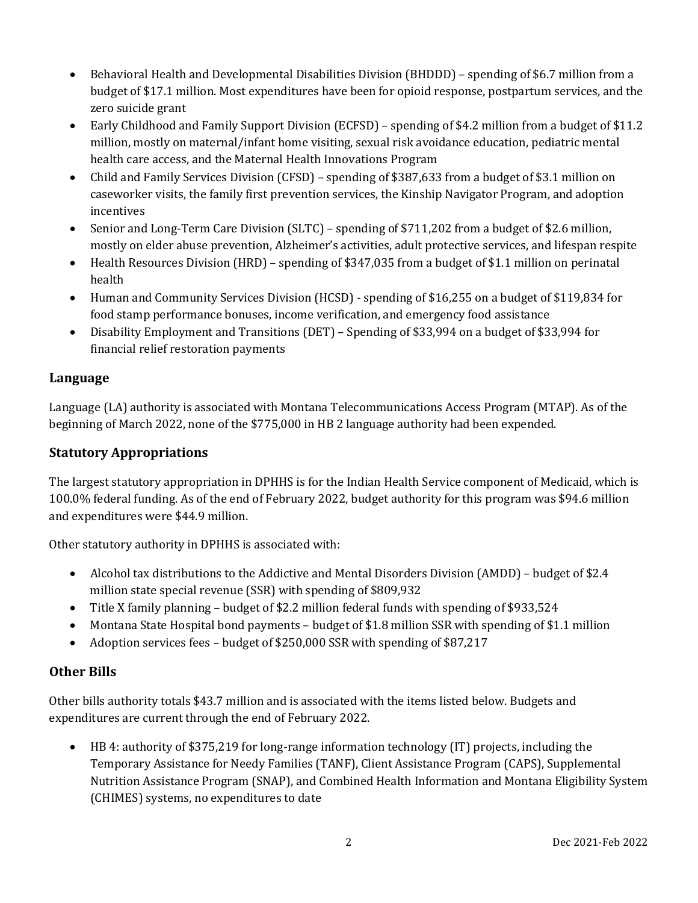- Behavioral Health and Developmental Disabilities Division (BHDDD) spending of \$6.7 million from a budget of \$17.1 million. Most expenditures have been for opioid response, postpartum services, and the zero suicide grant
- Early Childhood and Family Support Division (ECFSD) spending of \$4.2 million from a budget of \$11.2 million, mostly on maternal/infant home visiting, sexual risk avoidance education, pediatric mental health care access, and the Maternal Health Innovations Program
- Child and Family Services Division (CFSD) spending of \$387,633 from a budget of \$3.1 million on caseworker visits, the family first prevention services, the Kinship Navigator Program, and adoption incentives
- Senior and Long-Term Care Division (SLTC) spending of \$711,202 from a budget of \$2.6 million, mostly on elder abuse prevention, Alzheimer's activities, adult protective services, and lifespan respite
- Health Resources Division (HRD) spending of \$347,035 from a budget of \$1.1 million on perinatal health
- Human and Community Services Division (HCSD) spending of \$16,255 on a budget of \$119,834 for food stamp performance bonuses, income verification, and emergency food assistance
- Disability Employment and Transitions (DET) Spending of \$33,994 on a budget of \$33,994 for financial relief restoration payments

# **Language**

Language (LA) authority is associated with Montana Telecommunications Access Program (MTAP). As of the beginning of March 2022, none of the \$775,000 in HB 2 language authority had been expended.

# **Statutory Appropriations**

The largest statutory appropriation in DPHHS is for the Indian Health Service component of Medicaid, which is 100.0% federal funding. As of the end of February 2022, budget authority for this program was \$94.6 million and expenditures were \$44.9 million.

Other statutory authority in DPHHS is associated with:

- Alcohol tax distributions to the Addictive and Mental Disorders Division (AMDD) budget of \$2.4 million state special revenue (SSR) with spending of \$809,932
- Title X family planning budget of \$2.2 million federal funds with spending of \$933,524
- Montana State Hospital bond payments budget of \$1.8 million SSR with spending of \$1.1 million
- Adoption services fees budget of \$250,000 SSR with spending of \$87,217

## **Other Bills**

Other bills authority totals \$43.7 million and is associated with the items listed below. Budgets and expenditures are current through the end of February 2022.

• HB 4: authority of \$375,219 for long-range information technology (IT) projects, including the Temporary Assistance for Needy Families (TANF), Client Assistance Program (CAPS), Supplemental Nutrition Assistance Program (SNAP), and Combined Health Information and Montana Eligibility System (CHIMES) systems, no expenditures to date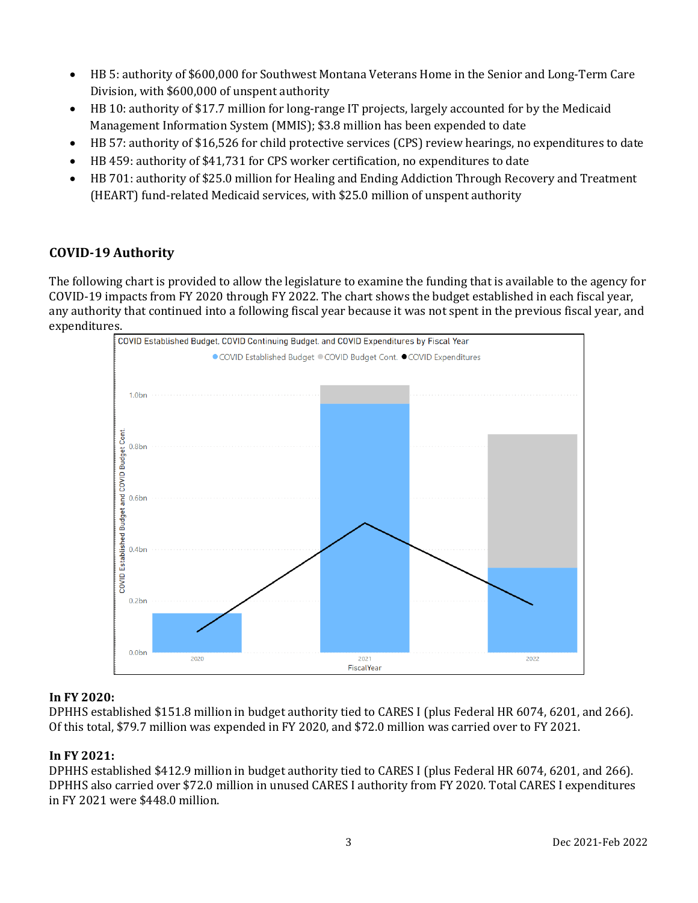- HB 5: authority of \$600,000 for Southwest Montana Veterans Home in the Senior and Long-Term Care Division, with \$600,000 of unspent authority
- HB 10: authority of \$17.7 million for long-range IT projects, largely accounted for by the Medicaid Management Information System (MMIS); \$3.8 million has been expended to date
- HB 57: authority of \$16,526 for child protective services (CPS) review hearings, no expenditures to date
- HB 459: authority of \$41,731 for CPS worker certification, no expenditures to date
- HB 701: authority of \$25.0 million for Healing and Ending Addiction Through Recovery and Treatment (HEART) fund-related Medicaid services, with \$25.0 million of unspent authority

# **COVID-19 Authority**

The following chart is provided to allow the legislature to examine the funding that is available to the agency for COVID-19 impacts from FY 2020 through FY 2022. The chart shows the budget established in each fiscal year, any authority that continued into a following fiscal year because it was not spent in the previous fiscal year, and expenditures.<br>ECOVID Established Budget, COVID Continuing Budget, and COVID Expenditures by Fiscal Year



#### **In FY 2020:**

DPHHS established \$151.8 million in budget authority tied to CARES I (plus Federal HR 6074, 6201, and 266). Of this total, \$79.7 million was expended in FY 2020, and \$72.0 million was carried over to FY 2021.

#### **In FY 2021:**

DPHHS established \$412.9 million in budget authority tied to CARES I (plus Federal HR 6074, 6201, and 266). DPHHS also carried over \$72.0 million in unused CARES I authority from FY 2020. Total CARES I expenditures in FY 2021 were \$448.0 million.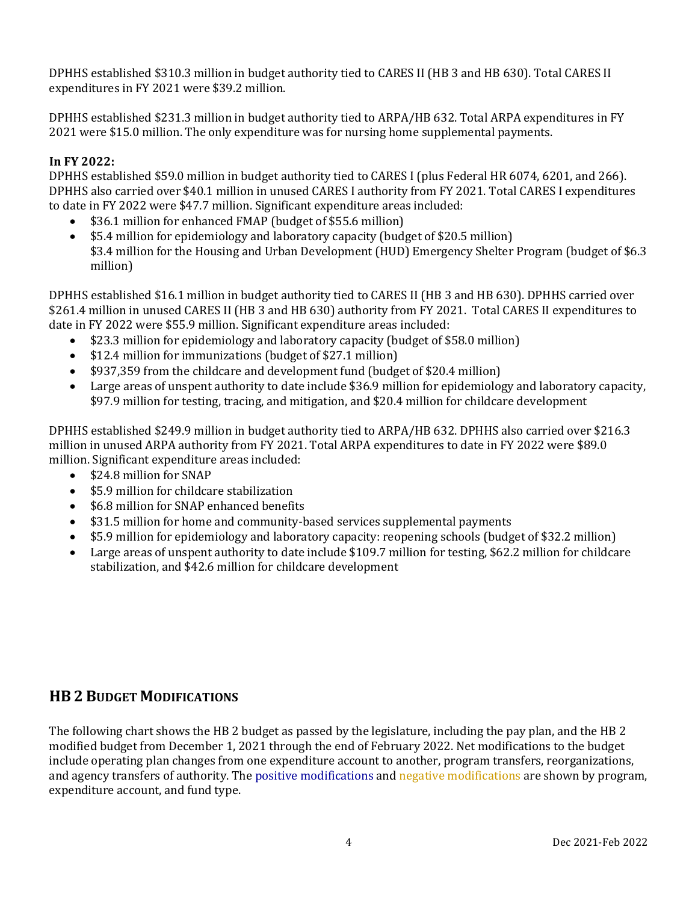DPHHS established \$310.3 million in budget authority tied to CARES II (HB 3 and HB 630). Total CARES II expenditures in FY 2021 were \$39.2 million.

DPHHS established \$231.3 million in budget authority tied to ARPA/HB 632. Total ARPA expenditures in FY 2021 were \$15.0 million. The only expenditure was for nursing home supplemental payments.

#### **In FY 2022:**

DPHHS established \$59.0 million in budget authority tied to CARES I (plus Federal HR 6074, 6201, and 266). DPHHS also carried over \$40.1 million in unused CARES I authority from FY 2021. Total CARES I expenditures to date in FY 2022 were \$47.7 million. Significant expenditure areas included:

- \$36.1 million for enhanced FMAP (budget of \$55.6 million)<br>• \$5.4 million for epidemiology and laboratory capacity (bud
- \$5.4 million for epidemiology and laboratory capacity (budget of \$20.5 million) \$3.4 million for the Housing and Urban Development (HUD) Emergency Shelter Program (budget of \$6.3 million)

DPHHS established \$16.1 million in budget authority tied to CARES II (HB 3 and HB 630). DPHHS carried over \$261.4 million in unused CARES II (HB 3 and HB 630) authority from FY 2021. Total CARES II expenditures to date in FY 2022 were \$55.9 million. Significant expenditure areas included:

- \$23.3 million for epidemiology and laboratory capacity (budget of \$58.0 million)
- \$12.4 million for immunizations (budget of \$27.1 million)
- \$937,359 from the childcare and development fund (budget of \$20.4 million)
- Large areas of unspent authority to date include \$36.9 million for epidemiology and laboratory capacity, \$97.9 million for testing, tracing, and mitigation, and \$20.4 million for childcare development

DPHHS established \$249.9 million in budget authority tied to ARPA/HB 632. DPHHS also carried over \$216.3 million in unused ARPA authority from FY 2021. Total ARPA expenditures to date in FY 2022 were \$89.0 million. Significant expenditure areas included:<br>  $\bullet$  \$24.8 million for SNAP

- \$24.8 million for SNAP
- \$5.9 million for childcare stabilization<br>• \$6.8 million for SNAP enhanced benefi
- \$6.8 million for SNAP enhanced benefits
- \$31.5 million for home and community-based services supplemental payments
- 
- \$5.9 million for epidemiology and laboratory capacity: reopening schools (budget of \$32.2 million)<br>• Large areas of unspent authority to date include \$109.7 million for testing, \$62.2 million for childca Large areas of unspent authority to date include \$109.7 million for testing, \$62.2 million for childcare stabilization, and \$42.6 million for childcare development

# **HB 2 BUDGET MODIFICATIONS**

The following chart shows the HB 2 budget as passed by the legislature, including the pay plan, and the HB 2 modified budget from December 1, 2021 through the end of February 2022. Net modifications to the budget include operating plan changes from one expenditure account to another, program transfers, reorganizations, and agency transfers of authority. The positive modifications and negative modifications are shown by program, expenditure account, and fund type.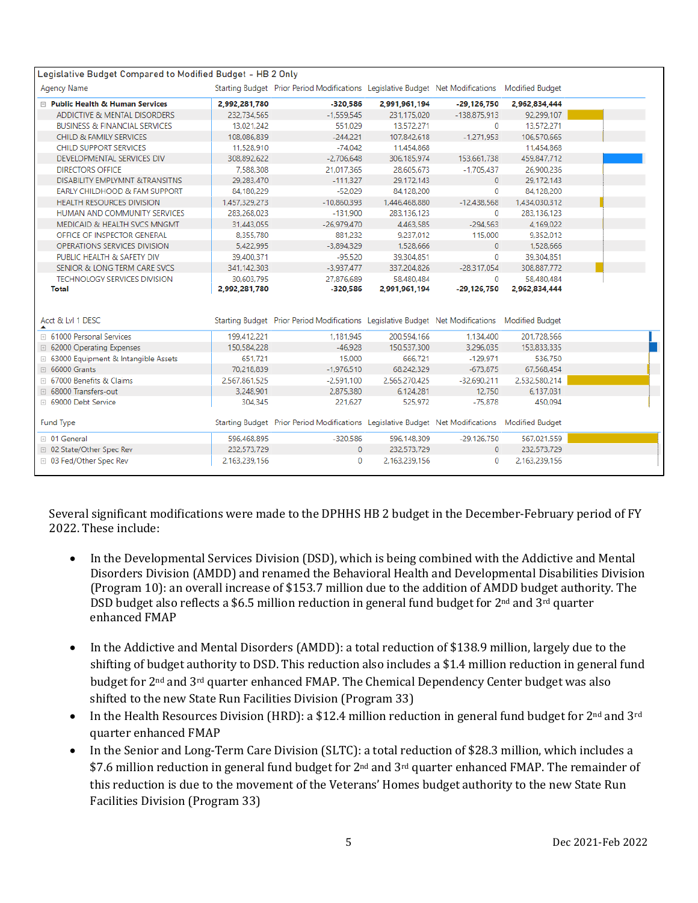| Legislative Budget Compared to Modified Budget - HB 2 Only |               |                                                                                                 |               |                |               |  |
|------------------------------------------------------------|---------------|-------------------------------------------------------------------------------------------------|---------------|----------------|---------------|--|
| <b>Agency Name</b>                                         |               | Starting Budget Prior Period Modifications Legislative Budget Net Modifications Modified Budget |               |                |               |  |
| □ Public Health & Human Services                           | 2,992,281,780 | $-320,586$                                                                                      | 2,991,961,194 | $-29.126.750$  | 2,962,834,444 |  |
| ADDICTIVE & MENTAL DISORDERS                               | 232.734.565   | $-1.559.545$                                                                                    | 231.175.020   | $-138.875.913$ | 92,299,107    |  |
| <b>BUSINESS &amp; FINANCIAL SERVICES</b>                   | 13,021,242    | 551,029                                                                                         | 13,572,271    | $\mathbf 0$    | 13,572,271    |  |
| CHILD & FAMILY SERVICES                                    | 108.086.839   | $-244.221$                                                                                      | 107.842.618   | $-1.271.953$   | 106.570.665   |  |
| CHILD SUPPORT SERVICES                                     | 11.528.910    | $-74.042$                                                                                       | 11.454.868    |                | 11,454,868    |  |
| DEVELOPMENTAL SERVICES DIV                                 | 308.892.622   | $-2.706.648$                                                                                    | 306.185.974   | 153,661,738    | 459.847.712   |  |
| <b>DIRECTORS OFFICE</b>                                    | 7.588.308     | 21.017.365                                                                                      | 28.605.673    | $-1.705.437$   | 26,900.236    |  |
| <b>DISABILITY EMPLYMNT &amp;TRANSITNS</b>                  | 29.283.470    | $-111.327$                                                                                      | 29.172.143    | $\Omega$       | 29.172.143    |  |
| EARLY CHILDHOOD & FAM SUPPORT                              | 84,180,229    | $-52.029$                                                                                       | 84.128.200    | 0              | 84,128,200    |  |
| <b>HEALTH RESOURCES DIVISION</b>                           | 1,457,329,273 | $-10.860.393$                                                                                   | 1,446,468,880 | $-12.438.568$  | 1,434,030,312 |  |
| HUMAN AND COMMUNITY SERVICES                               | 283,268,023   | $-131,900$                                                                                      | 283.136.123   | $\mathbf 0$    | 283.136.123   |  |
| MEDICAID & HEALTH SVCS MNGMT                               | 31.443.055    | $-26.979.470$                                                                                   | 4.463.585     | $-294.563$     | 4.169.022     |  |
| OFFICE OF INSPECTOR GENERAL                                | 8.355.780     | 881.232                                                                                         | 9.237.012     | 115,000        | 9.352.012     |  |
| OPERATIONS SERVICES DIVISION                               | 5,422,995     | $-3,894,329$                                                                                    | 1,528,666     | $\mathbf{0}$   | 1,528,666     |  |
| PUBLIC HEALTH & SAFETY DIV                                 | 39.400.371    | $-95.520$                                                                                       | 39.304.851    | 0              | 39.304.851    |  |
| SENIOR & LONG TERM CARE SVCS                               | 341,142,303   | $-3.937.477$                                                                                    | 337,204,826   | $-28.317.054$  | 308.887.772   |  |
| <b>TECHNOLOGY SERVICES DIVISION</b>                        | 30.603.795    | 27,876,689                                                                                      | 58.480.484    | $\Omega$       | 58,480,484    |  |
| <b>Total</b>                                               | 2,992,281,780 | -320,586                                                                                        | 2,991,961,194 | $-29.126.750$  | 2,962,834,444 |  |
| Acct & LvI 1 DESC                                          |               | Starting Budget Prior Period Modifications Legislative Budget Net Modifications Modified Budget |               |                |               |  |
| <b>El 61000 Personal Services</b>                          | 199,412,221   | 1,181,945                                                                                       | 200,594,166   | 1,134,400      | 201.728.566   |  |
| □ 62000 Operating Expenses                                 | 150.584.228   | $-46.928$                                                                                       | 150,537,300   | 3.296.035      | 153.833.335   |  |
| □ 63000 Equipment & Intangible Assets                      | 651,721       | 15,000                                                                                          | 666.721       | $-129.971$     | 536.750       |  |
| <b>E</b> 66000 Grants                                      | 70.218.839    | $-1,976,510$                                                                                    | 68,242,329    | $-673.875$     | 67,568,454    |  |
| ⊞ 67000 Benefits & Claims                                  | 2.567.861.525 | $-2.591.100$                                                                                    | 2.565.270.425 | $-32.690.211$  | 2.532.580.214 |  |
| <b>E</b> 68000 Transfers-out                               | 3.248.901     | 2.875.380                                                                                       | 6.124.281     | 12.750         | 6.137.031     |  |
| ⊞ 69000 Debt Service                                       | 304.345       | 221.627                                                                                         | 525.972       | $-75.878$      | 450.094       |  |
| <b>Fund Type</b>                                           |               | Starting Budget Prior Period Modifications Legislative Budget Net Modifications Modified Budget |               |                |               |  |
| ⊞ 01 General                                               | 596,468,895   | $-320.586$                                                                                      | 596,148,309   | $-29.126.750$  | 567,021,559   |  |
| □ 02 State/Other Spec Rev                                  | 232,573,729   | $\mathbf{0}$                                                                                    | 232,573,729   | $\mathbf{0}$   | 232,573,729   |  |
| □ 03 Fed/Other Spec Rev                                    | 2.163.239.156 | 0                                                                                               | 2.163.239.156 | 0              | 2.163.239.156 |  |

Several significant modifications were made to the DPHHS HB 2 budget in the December-February period of FY 2022. These include:

- In the Developmental Services Division (DSD), which is being combined with the Addictive and Mental Disorders Division (AMDD) and renamed the Behavioral Health and Developmental Disabilities Division (Program 10): an overall increase of \$153.7 million due to the addition of AMDD budget authority. The DSD budget also reflects a \$6.5 million reduction in general fund budget for  $2<sup>nd</sup>$  and  $3<sup>rd</sup>$  quarter enhanced FMAP
- In the Addictive and Mental Disorders (AMDD): a total reduction of \$138.9 million, largely due to the shifting of budget authority to DSD. This reduction also includes a \$1.4 million reduction in general fund budget for 2nd and 3rd quarter enhanced FMAP. The Chemical Dependency Center budget was also shifted to the new State Run Facilities Division (Program 33)
- In the Health Resources Division (HRD): a \$12.4 million reduction in general fund budget for  $2^{nd}$  and  $3^{rd}$ quarter enhanced FMAP
- In the Senior and Long-Term Care Division (SLTC): a total reduction of \$28.3 million, which includes a \$7.6 million reduction in general fund budget for  $2<sup>nd</sup>$  and  $3<sup>rd</sup>$  quarter enhanced FMAP. The remainder of this reduction is due to the movement of the Veterans' Homes budget authority to the new State Run Facilities Division (Program 33)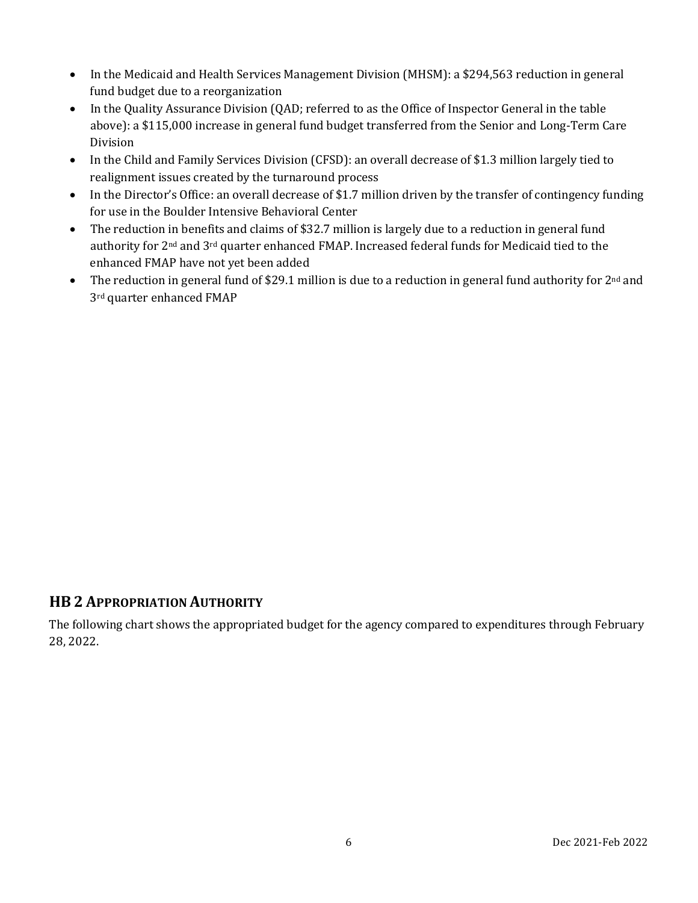- In the Medicaid and Health Services Management Division (MHSM): a \$294,563 reduction in general fund budget due to a reorganization
- In the Quality Assurance Division (QAD; referred to as the Office of Inspector General in the table above): a \$115,000 increase in general fund budget transferred from the Senior and Long-Term Care Division
- In the Child and Family Services Division (CFSD): an overall decrease of \$1.3 million largely tied to realignment issues created by the turnaround process
- In the Director's Office: an overall decrease of \$1.7 million driven by the transfer of contingency funding for use in the Boulder Intensive Behavioral Center
- The reduction in benefits and claims of \$32.7 million is largely due to a reduction in general fund authority for 2nd and 3rd quarter enhanced FMAP. Increased federal funds for Medicaid tied to the enhanced FMAP have not yet been added
- The reduction in general fund of \$29.1 million is due to a reduction in general fund authority for 2<sup>nd</sup> and 3rd quarter enhanced FMAP

## **HB 2 APPROPRIATION AUTHORITY**

The following chart shows the appropriated budget for the agency compared to expenditures through February 28, 2022.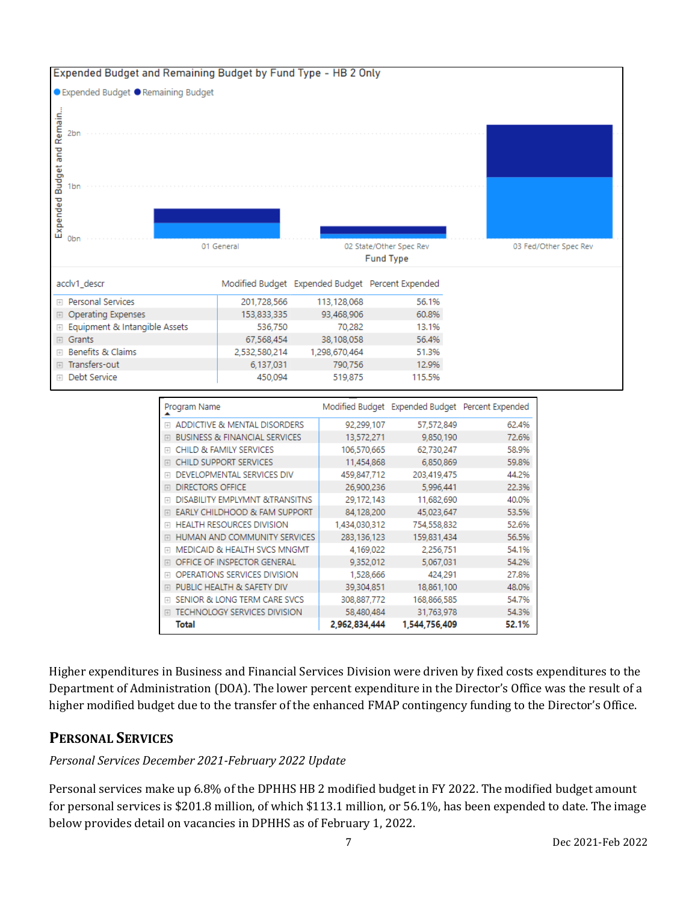

| Program Name                                                |               | Modified Budget Expended Budget Percent Expended |       |
|-------------------------------------------------------------|---------------|--------------------------------------------------|-------|
| ADDICTIVE & MENTAL DISORDERS<br>$+$                         | 92,299,107    | 57,572,849                                       | 62.4% |
| <b>BUSINESS &amp; FINANCIAL SERVICES</b><br>田               | 13,572,271    | 9,850,190                                        | 72.6% |
| <b>CHILD &amp; FAMILY SERVICES</b><br>$\overline{+}$        | 106.570.665   | 62,730,247                                       | 58.9% |
| <b>CHILD SUPPORT SERVICES</b><br>$\left  + \right $         | 11,454,868    | 6,850,869                                        | 59.8% |
| DEVELOPMENTAL SERVICES DIV<br>$\overline{+}$                | 459,847,712   | 203,419,475                                      | 44.2% |
| <b>DIRECTORS OFFICE</b><br>田                                | 26,900,236    | 5,996,441                                        | 22.3% |
| <b>DISABILITY EMPLYMNT &amp;TRANSITNS</b><br>$\overline{+}$ | 29,172,143    | 11,682,690                                       | 40.0% |
| EARLY CHILDHOOD & FAM SUPPORT<br>$\boxplus$                 | 84.128.200    | 45,023,647                                       | 53.5% |
| <b>HEALTH RESOURCES DIVISION</b><br>$+$                     | 1,434,030,312 | 754,558,832                                      | 52.6% |
| HUMAN AND COMMUNITY SERVICES<br>$\Box$                      | 283,136,123   | 159,831,434                                      | 56.5% |
| MEDICAID & HEALTH SVCS MNGMT<br>$\overline{+}$              | 4,169,022     | 2,256,751                                        | 54.1% |
| OFFICE OF INSPECTOR GENERAL<br>田                            | 9,352,012     | 5,067,031                                        | 54.2% |
| <b>OPERATIONS SERVICES DIVISION</b><br>$\overline{+}$       | 1,528,666     | 424.291                                          | 27.8% |
| PUBLIC HEALTH & SAFETY DIV<br>$\boxed{+}$                   | 39,304,851    | 18,861,100                                       | 48.0% |
| SENIOR & LONG TERM CARE SVCS<br>$\overline{+}$              | 308,887,772   | 168,866,585                                      | 54.7% |
| TECHNOLOGY SERVICES DIVISION<br>$\overline{+}$              | 58.480.484    | 31,763,978                                       | 54.3% |
| Total                                                       | 2,962,834,444 | 1,544,756,409                                    | 52.1% |

Higher expenditures in Business and Financial Services Division were driven by fixed costs expenditures to the Department of Administration (DOA). The lower percent expenditure in the Director's Office was the result of a higher modified budget due to the transfer of the enhanced FMAP contingency funding to the Director's Office.

# **PERSONAL SERVICES**

#### *Personal Services December 2021-February 2022 Update*

Personal services make up 6.8% of the DPHHS HB 2 modified budget in FY 2022. The modified budget amount for personal services is \$201.8 million, of which \$113.1 million, or 56.1%, has been expended to date. The image below provides detail on vacancies in DPHHS as of February 1, 2022.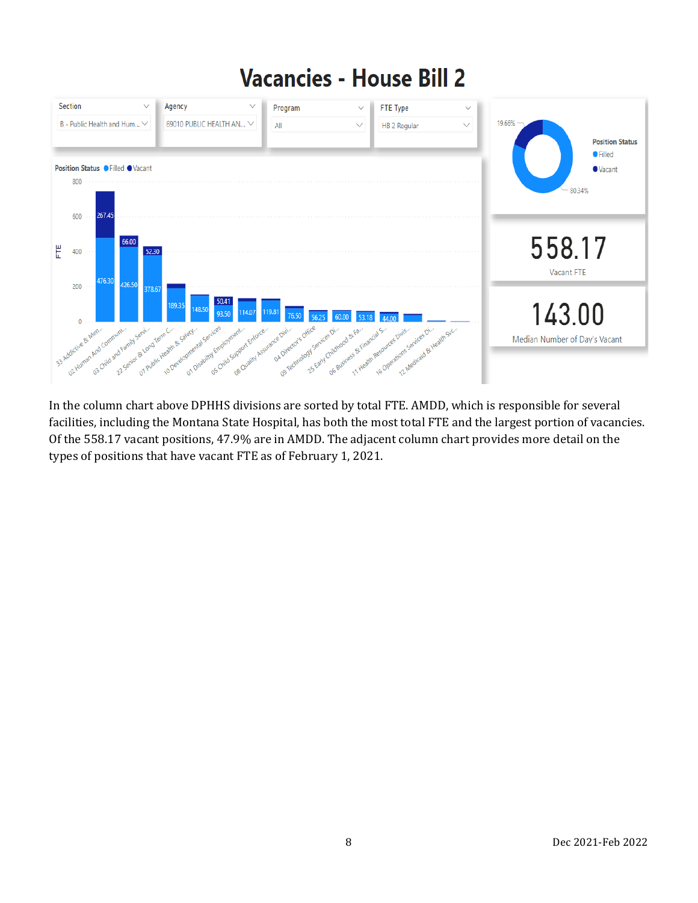# **Vacancies - House Bill 2**



In the column chart above DPHHS divisions are sorted by total FTE. AMDD, which is responsible for several facilities, including the Montana State Hospital, has both the most total FTE and the largest portion of vacancies. Of the 558.17 vacant positions, 47.9% are in AMDD. The adjacent column chart provides more detail on the types of positions that have vacant FTE as of February 1, 2021.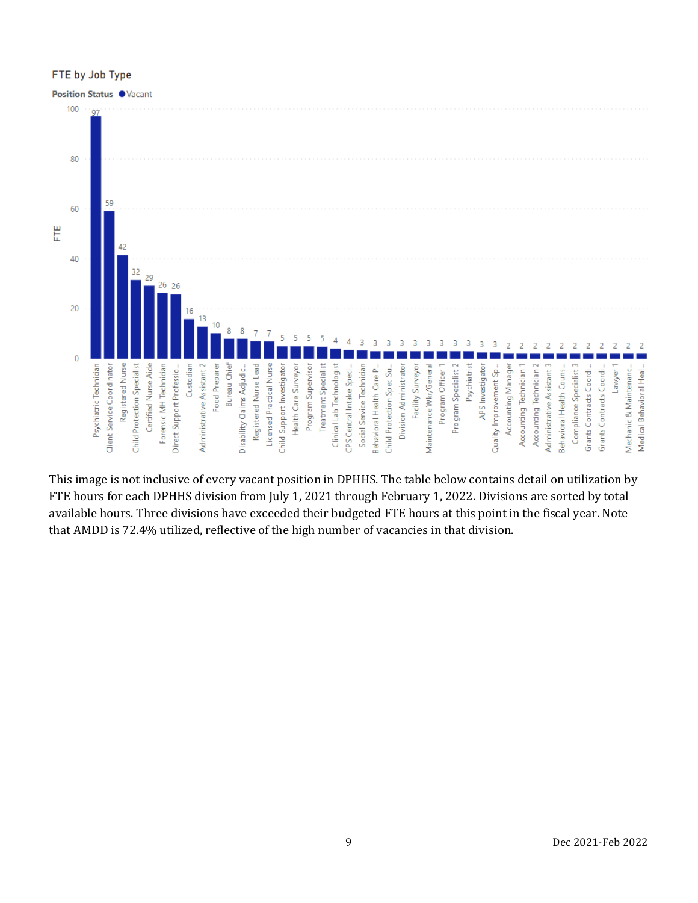#### FTE by Job Type



This image is not inclusive of every vacant position in DPHHS. The table below contains detail on utilization by FTE hours for each DPHHS division from July 1, 2021 through February 1, 2022. Divisions are sorted by total available hours. Three divisions have exceeded their budgeted FTE hours at this point in the fiscal year. Note that AMDD is 72.4% utilized, reflective of the high number of vacancies in that division.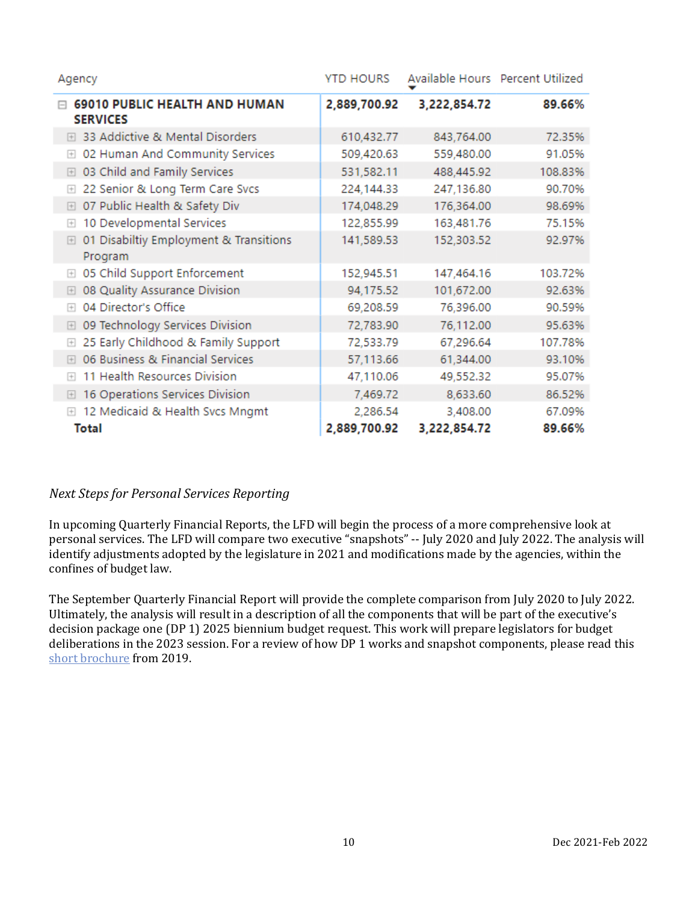| Agency                                                           | <b>YTD HOURS</b> |              | Available Hours Percent Utilized |
|------------------------------------------------------------------|------------------|--------------|----------------------------------|
| <b>69010 PUBLIC HEALTH AND HUMAN</b><br><b>SERVICES</b>          | 2,889,700.92     | 3,222,854.72 | 89.66%                           |
| 33 Addictive & Mental Disorders<br>$+$                           | 610,432.77       | 843,764.00   | 72.35%                           |
| 02 Human And Community Services<br>$\boxed{+}$                   | 509,420.63       | 559,480.00   | 91.05%                           |
| 03 Child and Family Services<br>$\boxed{+}$                      | 531,582.11       | 488,445.92   | 108.83%                          |
| 22 Senior & Long Term Care Svcs<br>$\Box$                        | 224,144.33       | 247,136.80   | 90.70%                           |
| 07 Public Health & Safety Div<br>田                               | 174,048.29       | 176,364.00   | 98.69%                           |
| 10 Developmental Services<br>$\boxed{+}$                         | 122,855.99       | 163,481.76   | 75.15%                           |
| 01 Disabiltiy Employment & Transitions<br>$\boxed{+}$<br>Program | 141,589.53       | 152,303.52   | 92.97%                           |
| 05 Child Support Enforcement<br>$\boxed{+}$                      | 152,945.51       | 147,464.16   | 103.72%                          |
| 08 Quality Assurance Division<br>$\boxed{+}$                     | 94,175.52        | 101,672.00   | 92.63%                           |
| 04 Director's Office<br>$\overline{+}$                           | 69,208.59        | 76,396.00    | 90.59%                           |
| 09 Technology Services Division<br>$\boxplus$                    | 72,783.90        | 76,112.00    | 95.63%                           |
| 25 Early Childhood & Family Support<br>$\boxed{+}$               | 72,533.79        | 67,296.64    | 107.78%                          |
| 06 Business & Financial Services<br>$\boxed{+}$                  | 57,113.66        | 61,344.00    | 93.10%                           |
| 11 Health Resources Division<br>$\overline{+}$                   | 47,110.06        | 49,552.32    | 95.07%                           |
| 16 Operations Services Division<br>$\boxed{+}$                   | 7,469.72         | 8,633.60     | 86.52%                           |
| 12 Medicaid & Health Svcs Mngmt<br>$+$                           | 2,286.54         | 3,408.00     | 67.09%                           |
| <b>Total</b>                                                     | 2,889,700.92     | 3,222,854.72 | 89.66%                           |

## *Next Steps for Personal Services Reporting*

In upcoming Quarterly Financial Reports, the LFD will begin the process of a more comprehensive look at personal services. The LFD will compare two executive "snapshots" -- July 2020 and July 2022. The analysis will identify adjustments adopted by the legislature in 2021 and modifications made by the agencies, within the confines of budget law.

The September Quarterly Financial Report will provide the complete comparison from July 2020 to July 2022. Ultimately, the analysis will result in a description of all the components that will be part of the executive's decision package one (DP 1) 2025 biennium budget request. This work will prepare legislators for budget deliberations in the 2023 session. For a review of how DP 1 works and snapshot components, please read this [short brochure](https://montana.maps.arcgis.com/apps/Cascade/index.html?appid=23095fcf15754f4fb38b63c58a884b97) from 2019.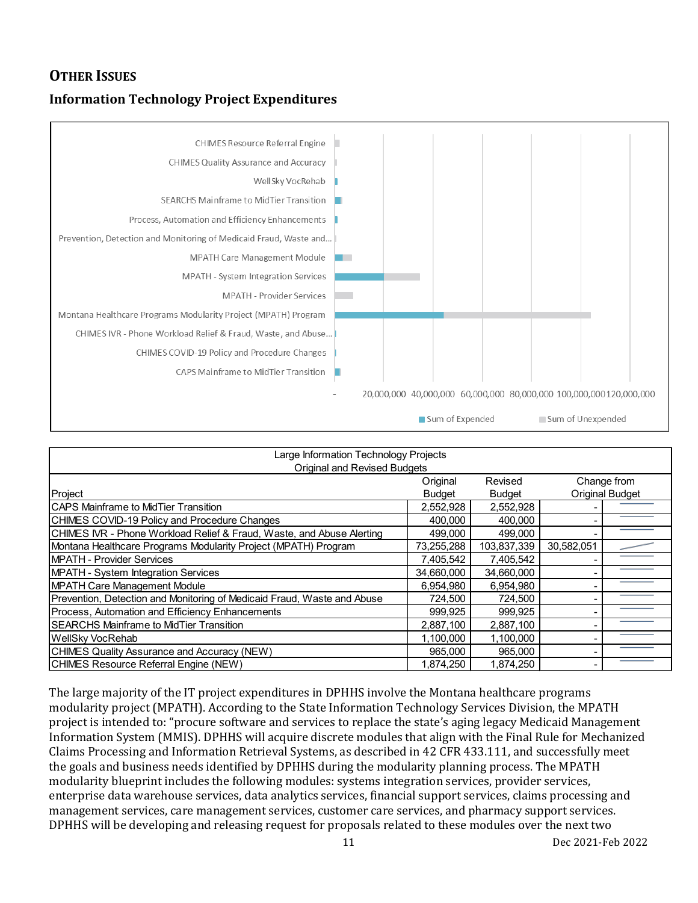# **OTHER ISSUES**

# **Information Technology Project Expenditures**



| Large Information Technology Projects                                   |               |               |                 |             |  |  |  |  |
|-------------------------------------------------------------------------|---------------|---------------|-----------------|-------------|--|--|--|--|
| <b>Original and Revised Budgets</b>                                     |               |               |                 |             |  |  |  |  |
|                                                                         | Original      | Revised       |                 | Change from |  |  |  |  |
| Project                                                                 | <b>Budget</b> | <b>Budget</b> | Original Budget |             |  |  |  |  |
| <b>ICAPS Mainframe to MidTier Transition</b>                            | 2,552,928     | 2,552,928     |                 |             |  |  |  |  |
| CHIMES COVID-19 Policy and Procedure Changes                            | 400.000       | 400,000       |                 |             |  |  |  |  |
| CHIMES IVR - Phone Workload Relief & Fraud, Waste, and Abuse Alerting   | 499,000       | 499,000       |                 |             |  |  |  |  |
| Montana Healthcare Programs Modularity Project (MPATH) Program          | 73,255,288    | 103,837,339   | 30,582,051      |             |  |  |  |  |
| MPATH - Provider Services                                               | 7,405,542     | 7,405,542     |                 |             |  |  |  |  |
| <b>MPATH - System Integration Services</b>                              | 34,660,000    | 34,660,000    |                 |             |  |  |  |  |
| MPATH Care Management Module                                            | 6.954.980     | 6.954.980     |                 |             |  |  |  |  |
| Prevention, Detection and Monitoring of Medicaid Fraud, Waste and Abuse | 724,500       | 724,500       |                 |             |  |  |  |  |
| Process, Automation and Efficiency Enhancements                         | 999,925       | 999,925       |                 |             |  |  |  |  |
| <b>ISEARCHS Mainframe to MidTier Transition</b>                         | 2,887,100     | 2,887,100     |                 |             |  |  |  |  |
| WellSky VocRehab                                                        | 1,100,000     | 1,100,000     |                 |             |  |  |  |  |
| CHIMES Quality Assurance and Accuracy (NEW)                             | 965.000       | 965,000       |                 |             |  |  |  |  |
| CHIMES Resource Referral Engine (NEW)                                   | 1.874.250     | 1.874.250     |                 |             |  |  |  |  |

The large majority of the IT project expenditures in DPHHS involve the Montana healthcare programs modularity project (MPATH). According to the State Information Technology Services Division, the MPATH project is intended to: "procure software and services to replace the state's aging legacy Medicaid Management Information System (MMIS). DPHHS will acquire discrete modules that align with the Final Rule for Mechanized Claims Processing and Information Retrieval Systems, as described in 42 CFR 433.111, and successfully meet the goals and business needs identified by DPHHS during the modularity planning process. The MPATH modularity blueprint includes the following modules: systems integration services, provider services, enterprise data warehouse services, data analytics services, financial support services, claims processing and management services, care management services, customer care services, and pharmacy support services. DPHHS will be developing and releasing request for proposals related to these modules over the next two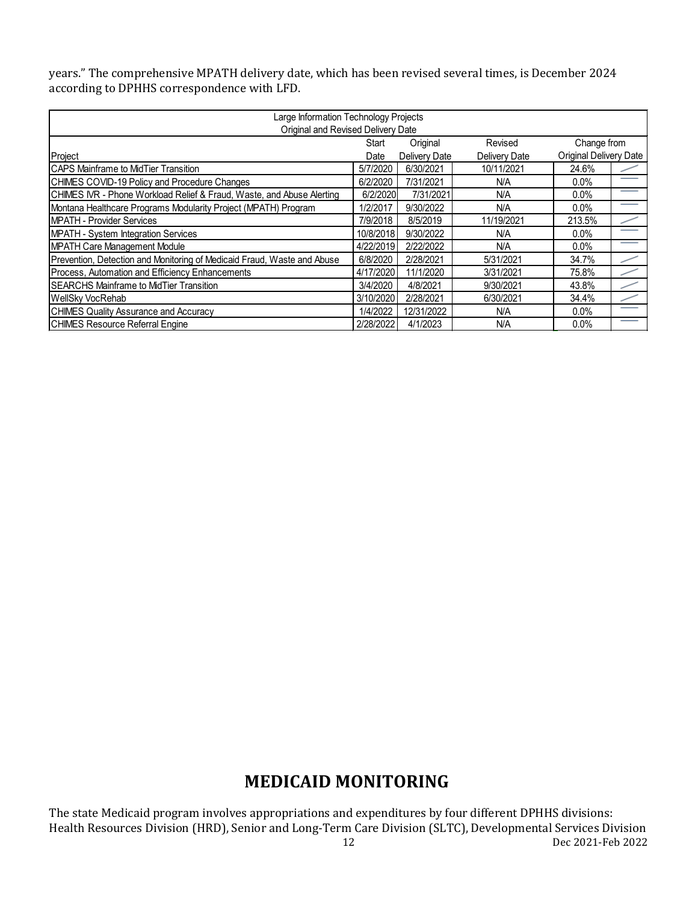years." The comprehensive MPATH delivery date, which has been revised several times, is December 2024 according to DPHHS correspondence with LFD.

| Large Information Technology Projects                                   |           |               |               |                               |  |  |  |
|-------------------------------------------------------------------------|-----------|---------------|---------------|-------------------------------|--|--|--|
| Original and Revised Delivery Date                                      |           |               |               |                               |  |  |  |
| Original<br>Change from<br>Start<br>Revised                             |           |               |               |                               |  |  |  |
| Project                                                                 | Date      | Delivery Date | Delivery Date | <b>Original Delivery Date</b> |  |  |  |
| <b>ICAPS Mainframe to MidTier Transition</b>                            | 5/7/2020  | 6/30/2021     | 10/11/2021    | 24.6%                         |  |  |  |
| CHIMES COVID-19 Policy and Procedure Changes                            | 6/2/2020  | 7/31/2021     | N/A           | $0.0\%$                       |  |  |  |
| CHIMES IVR - Phone Workload Relief & Fraud, Waste, and Abuse Alerting   | 6/2/2020  | 7/31/2021     | N/A           | $0.0\%$                       |  |  |  |
| Montana Healthcare Programs Modularity Project (MPATH) Program          | 1/2/2017  | 9/30/2022     | N/A           | $0.0\%$                       |  |  |  |
| <b>IMPATH - Provider Services</b>                                       | 7/9/2018  | 8/5/2019      | 11/19/2021    | 213.5%                        |  |  |  |
| <b>MPATH - System Integration Services</b>                              | 10/8/2018 | 9/30/2022     | N/A           | $0.0\%$                       |  |  |  |
| <b>MPATH Care Management Module</b>                                     | 4/22/2019 | 2/22/2022     | N/A           | $0.0\%$                       |  |  |  |
| Prevention, Detection and Monitoring of Medicaid Fraud, Waste and Abuse | 6/8/2020  | 2/28/2021     | 5/31/2021     | 34.7%                         |  |  |  |
| Process, Automation and Efficiency Enhancements                         | 4/17/2020 | 11/1/2020     | 3/31/2021     | 75.8%                         |  |  |  |
| <b>ISEARCHS Mainframe to MidTier Transition</b>                         | 3/4/2020  | 4/8/2021      | 9/30/2021     | 43.8%                         |  |  |  |
| WellSky VocRehab                                                        | 3/10/2020 | 2/28/2021     | 6/30/2021     | 34.4%                         |  |  |  |
| <b>CHIMES Quality Assurance and Accuracy</b>                            | 1/4/2022  | 12/31/2022    | N/A           | $0.0\%$                       |  |  |  |
| <b>ICHIMES Resource Referral Engine</b>                                 | 2/28/2022 | 4/1/2023      | N/A           | $0.0\%$                       |  |  |  |

# **MEDICAID MONITORING**

12 Dec 2021-Feb 2022 The state Medicaid program involves appropriations and expenditures by four different DPHHS divisions: Health Resources Division (HRD), Senior and Long-Term Care Division (SLTC), Developmental Services Division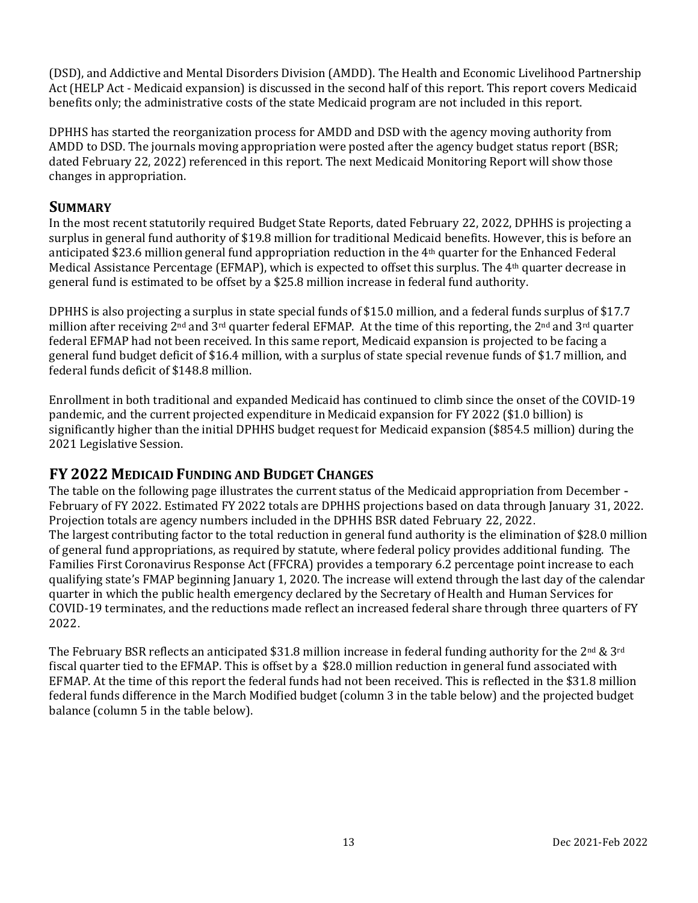(DSD), and Addictive and Mental Disorders Division (AMDD). The Health and Economic Livelihood Partnership Act (HELP Act - Medicaid expansion) is discussed in the second half of this report. This report covers Medicaid benefits only; the administrative costs of the state Medicaid program are not included in this report.

DPHHS has started the reorganization process for AMDD and DSD with the agency moving authority from AMDD to DSD. The journals moving appropriation were posted after the agency budget status report (BSR; dated February 22, 2022) referenced in this report. The next Medicaid Monitoring Report will show those changes in appropriation.

# **SUMMARY**

In the most recent statutorily required Budget State Reports, dated February 22, 2022, DPHHS is projecting a surplus in general fund authority of \$19.8 million for traditional Medicaid benefits. However, this is before an anticipated \$23.6 million general fund appropriation reduction in the 4th quarter for the Enhanced Federal Medical Assistance Percentage (EFMAP), which is expected to offset this surplus. The 4th quarter decrease in general fund is estimated to be offset by a \$25.8 million increase in federal fund authority.

DPHHS is also projecting a surplus in state special funds of \$15.0 million, and a federal funds surplus of \$17.7 million after receiving 2<sup>nd</sup> and 3<sup>rd</sup> quarter federal EFMAP. At the time of this reporting, the 2<sup>nd</sup> and 3<sup>rd</sup> quarter federal EFMAP had not been received. In this same report, Medicaid expansion is projected to be facing a general fund budget deficit of \$16.4 million, with a surplus of state special revenue funds of \$1.7 million, and federal funds deficit of \$148.8 million.

Enrollment in both traditional and expanded Medicaid has continued to climb since the onset of the COVID-19 pandemic, and the current projected expenditure in Medicaid expansion for FY 2022 (\$1.0 billion) is significantly higher than the initial DPHHS budget request for Medicaid expansion (\$854.5 million) during the 2021 Legislative Session.

# **FY 2022 MEDICAID FUNDING AND BUDGET CHANGES**

The table on the following page illustrates the current status of the Medicaid appropriation from December - February of FY 2022. Estimated FY 2022 totals are DPHHS projections based on data through January 31, 2022. Projection totals are agency numbers included in the DPHHS BSR dated February 22, 2022. The largest contributing factor to the total reduction in general fund authority is the elimination of \$28.0 million of general fund appropriations, as required by statute, where federal policy provides additional funding. The Families First Coronavirus Response Act (FFCRA) provides a temporary 6.2 percentage point increase to each qualifying state's FMAP beginning January 1, 2020. The increase will extend through the last day of the calendar quarter in which the public health emergency declared by the Secretary of Health and Human Services for COVID-19 terminates, and the reductions made reflect an increased federal share through three quarters of FY 2022.

The February BSR reflects an anticipated \$31.8 million increase in federal funding authority for the 2<sup>nd</sup> & 3<sup>rd</sup> fiscal quarter tied to the EFMAP. This is offset by a \$28.0 million reduction in general fund associated with EFMAP. At the time of this report the federal funds had not been received. This is reflected in the \$31.8 million federal funds difference in the March Modified budget (column 3 in the table below) and the projected budget balance (column 5 in the table below).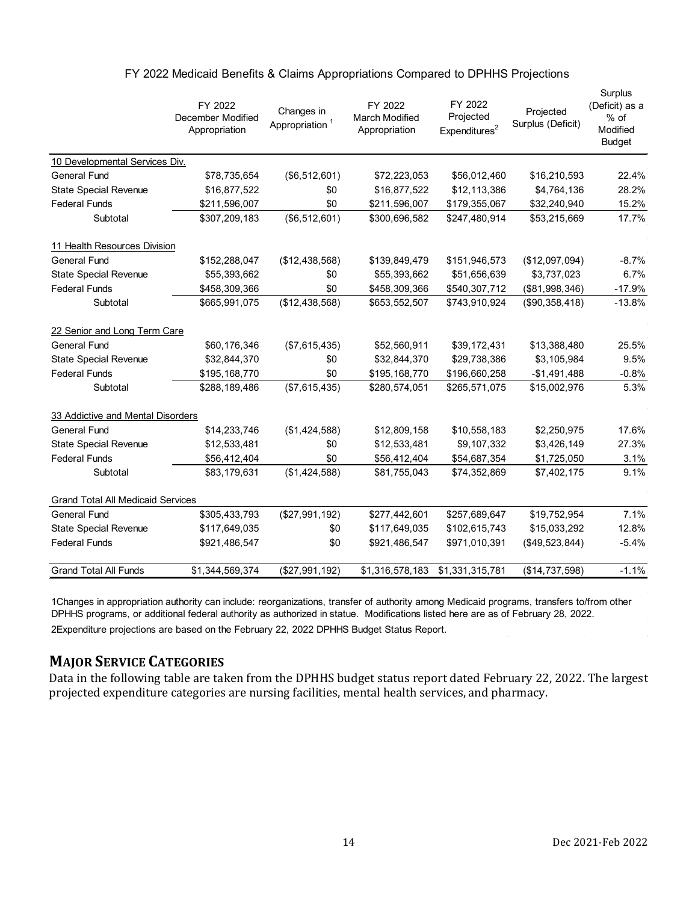|                                          | FY 2022<br>December Modified<br>Appropriation | Changes in<br>Appropriation <sup>1</sup> | FY 2022<br><b>March Modified</b><br>Appropriation | FY 2022<br>Projected<br>Expenditures <sup>2</sup> | Projected<br>Surplus (Deficit) | Surplus<br>(Deficit) as a<br>$%$ of<br>Modified<br><b>Budget</b> |
|------------------------------------------|-----------------------------------------------|------------------------------------------|---------------------------------------------------|---------------------------------------------------|--------------------------------|------------------------------------------------------------------|
| 10 Developmental Services Div.           |                                               |                                          |                                                   |                                                   |                                |                                                                  |
| <b>General Fund</b>                      | \$78,735,654                                  | $($ \$6,512,601)                         | \$72,223,053                                      | \$56,012,460                                      | \$16,210,593                   | 22.4%                                                            |
| <b>State Special Revenue</b>             | \$16,877,522                                  | \$0                                      | \$16,877,522                                      | \$12,113,386                                      | \$4,764,136                    | 28.2%                                                            |
| <b>Federal Funds</b>                     | \$211,596,007                                 | \$0                                      | \$211,596,007                                     | \$179,355,067                                     | \$32,240,940                   | 15.2%                                                            |
| Subtotal                                 | \$307,209,183                                 | (\$6,512,601)                            | \$300,696,582                                     | \$247,480,914                                     | \$53,215,669                   | 17.7%                                                            |
| 11 Health Resources Division             |                                               |                                          |                                                   |                                                   |                                |                                                                  |
| <b>General Fund</b>                      | \$152,288,047                                 | (\$12,438,568)                           | \$139,849,479                                     | \$151,946,573                                     | (\$12,097,094)                 | $-8.7%$                                                          |
| <b>State Special Revenue</b>             | \$55,393,662                                  | \$0                                      | \$55,393,662                                      | \$51,656,639                                      | \$3,737,023                    | 6.7%                                                             |
| <b>Federal Funds</b>                     | \$458,309,366                                 | \$0                                      | \$458,309,366                                     | \$540,307,712                                     | (\$81,998,346)                 | $-17.9%$                                                         |
| Subtotal                                 | \$665,991,075                                 | (\$12,438,568)                           | \$653,552,507                                     | \$743,910,924                                     | (\$90,358,418)                 | $-13.8%$                                                         |
| 22 Senior and Long Term Care             |                                               |                                          |                                                   |                                                   |                                |                                                                  |
| <b>General Fund</b>                      | \$60,176,346                                  | (\$7,615,435)                            | \$52,560,911                                      | \$39,172,431                                      | \$13,388,480                   | 25.5%                                                            |
| State Special Revenue                    | \$32,844,370                                  | \$0                                      | \$32,844,370                                      | \$29,738,386                                      | \$3,105,984                    | 9.5%                                                             |
| <b>Federal Funds</b>                     | \$195,168,770                                 | \$0                                      | \$195,168,770                                     | \$196,660,258                                     | $-$1,491,488$                  | $-0.8%$                                                          |
| Subtotal                                 | \$288,189,486                                 | (\$7,615,435)                            | \$280,574,051                                     | \$265,571,075                                     | \$15,002,976                   | 5.3%                                                             |
| 33 Addictive and Mental Disorders        |                                               |                                          |                                                   |                                                   |                                |                                                                  |
| <b>General Fund</b>                      | \$14,233,746                                  | (\$1,424,588)                            | \$12,809,158                                      | \$10,558,183                                      | \$2,250,975                    | 17.6%                                                            |
| <b>State Special Revenue</b>             | \$12,533,481                                  | \$0                                      | \$12,533,481                                      | \$9,107,332                                       | \$3,426,149                    | 27.3%                                                            |
| <b>Federal Funds</b>                     | \$56,412,404                                  | \$0                                      | \$56,412,404                                      | \$54,687,354                                      | \$1,725,050                    | 3.1%                                                             |
| Subtotal                                 | \$83,179,631                                  | (\$1,424,588)                            | \$81,755,043                                      | \$74,352,869                                      | \$7,402,175                    | 9.1%                                                             |
| <b>Grand Total All Medicaid Services</b> |                                               |                                          |                                                   |                                                   |                                |                                                                  |
| <b>General Fund</b>                      | \$305,433,793                                 | (\$27,991,192)                           | \$277,442,601                                     | \$257,689,647                                     | \$19,752,954                   | 7.1%                                                             |
| State Special Revenue                    | \$117,649,035                                 | \$0                                      | \$117,649,035                                     | \$102,615,743                                     | \$15,033,292                   | 12.8%                                                            |
| <b>Federal Funds</b>                     | \$921,486,547                                 | \$0                                      | \$921,486,547                                     | \$971,010,391                                     | (\$49,523,844)                 | $-5.4%$                                                          |
| <b>Grand Total All Funds</b>             | \$1,344,569,374                               | (\$27,991,192)                           | \$1,316,578,183                                   | \$1,331,315,781                                   | (\$14,737,598)                 | $-1.1%$                                                          |

#### FY 2022 Medicaid Benefits & Claims Appropriations Compared to DPHHS Projections

1Changes in appropriation authority can include: reorganizations, transfer of authority among Medicaid programs, transfers to/from other DPHHS programs, or additional federal authority as authorized in statue. Modifications listed here are as of February 28, 2022.

2Expenditure projections are based on the February 22, 2022 DPHHS Budget Status Report.

# **MAJOR SERVICE CATEGORIES**

Data in the following table are taken from the DPHHS budget status report dated February 22, 2022. The largest projected expenditure categories are nursing facilities, mental health services, and pharmacy.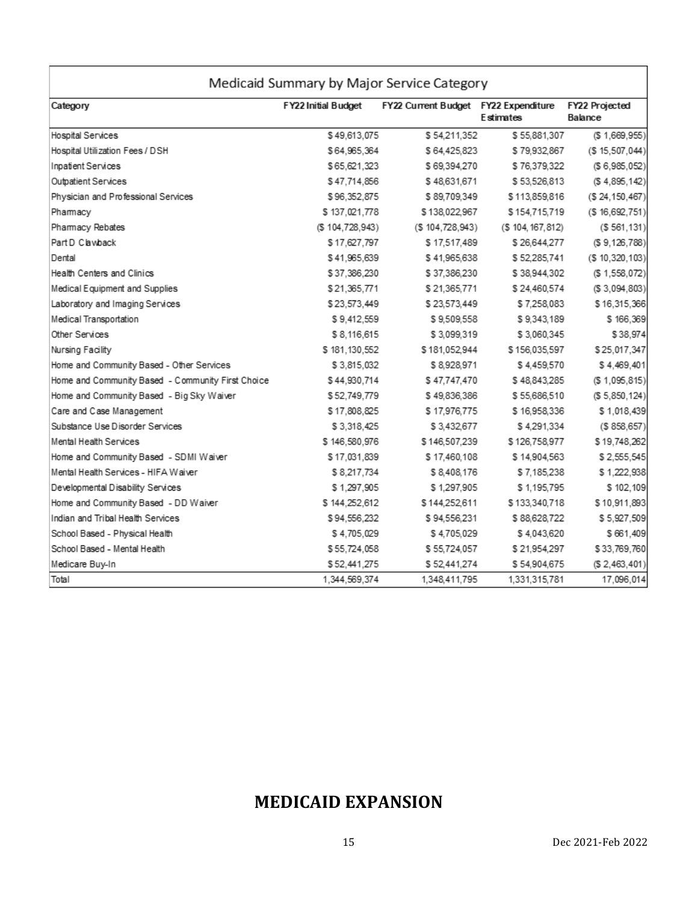| Category                                          | FY22 Initial Budget | FY22 Current Budget FY22 Expenditure | <b>Estimates</b>  | FY22 Projected<br>Balance |
|---------------------------------------------------|---------------------|--------------------------------------|-------------------|---------------------------|
| <b>Hospital Services</b>                          | \$49,613,075        | \$54,211,352                         | \$55,881,307      | (S 1, 669, 955)           |
| Hospital Utilization Fees / DSH                   | \$64,965,364        | \$64,425,823                         | \$79,932,867      | (S 15, 507, 044)          |
| Inpatient Services                                | \$65,621,323        | \$69,394,270                         | \$76,379,322      | (S6, 985, 052)            |
| Outpatient Services                               | \$47,714,856        | \$48,631,671                         | \$53,526,813      | (S 4, 895, 142)           |
| Physician and Professional Services               | \$96,352,875        | \$89,709,349                         | \$113,859,816     | (S 24, 150, 467)          |
| Pharmacy                                          | \$137,021,778       | \$138,022,967                        | \$154,715,719     | (S.16, 692, 751)          |
| Pharmacy Rebates                                  | (S. 104, 728, 943)  | (S 104, 728, 943)                    | (\$104, 167, 812) | (S.561, 131)              |
| Part D Clawback                                   | \$17,627,797        | \$17,517,489                         | \$26,644,277      | (S 9, 126, 788)           |
| Dental                                            | \$41,965,639        | \$41,965,638                         | \$52,285,741      | (S 10, 320, 103)          |
| Health Centers and Clinics                        | \$37,386,230        | \$37,386,230                         | \$38,944,302      | (\$1,558,072)             |
| Medical Equipment and Supplies                    | \$21,365,771        | \$21,365,771                         | \$24,460,574      | (S.3,094,803)             |
| Laboratory and Imaging Services                   | \$23,573,449        | \$23,573,449                         | \$7,258,083       | \$16,315,366              |
| Medical Transportation                            | \$9,412,559         | \$9,509,558                          | \$9,343,189       | \$166,369                 |
| Other Services                                    | \$8,116,615         | \$3,099,319                          | \$3,060,345       | \$38,974                  |
| Nursing Facility                                  | \$181,130,552       | \$181,052,944                        | \$156,035,597     | \$25,017,347              |
| Home and Community Based - Other Services         | \$3,815,032         | \$8,928,971                          | \$4.459,570       | \$4,469,401               |
| Home and Community Based - Community First Choice | \$44,930,714        | \$47,747,470                         | \$48,843,285      | (S 1, 095, 815)           |
| Home and Community Based - Big Sky Waiver         | \$52,749,779        | \$49,836,386                         | \$55,686,510      | (S 5, 850, 124)           |
| Care and Case Management                          | \$17,808,825        | \$17,976,775                         | \$16,958,336      | \$1,018,439               |
| Substance Use Disorder Services                   | \$3,318,425         | \$3,432,677                          | \$4,291,334       | (S 858, 657)              |
| Mental Health Services                            | \$146,580,976       | \$146,507,239                        | \$126,758,977     | \$19,748,262              |
| Home and Community Based - SDMI Waiver            | \$17,031,839        | \$17,460,108                         | \$14,904,563      | \$2,555,545               |
| Mental Health Services - HIFA Waiver              | \$8,217,734         | \$8,408,176                          | \$7,185,238       | \$1,222,938               |
| Developmental Disability Services                 | \$1,297,905         | \$1,297,905                          | \$1,195,795       | \$102,109                 |
| Home and Community Based - DD Waiver              | \$144,252,612       | \$144,252,611                        | \$133,340,718     | \$10,911,893              |
| Indian and Tribal Health Services                 | \$94,556,232        | \$94,556,231                         | \$88,628,722      | \$5,927,509               |
| School Based - Physical Health                    | \$4,705,029         | \$4,705,029                          | \$4,043,620       | \$661,409                 |
| School Based - Mental Health                      | \$55,724,058        | \$55,724,057                         | \$21,954,297      | \$33,769,760              |
| Medicare Buy-In                                   | \$52,441,275        | \$52,441,274                         | \$54,904,675      | (S 2, 463, 401)           |
| Total                                             | 1.344.569.374       | 1.348.411.795                        | 1,331,315,781     | 17,096,014                |

# **MEDICAID EXPANSION**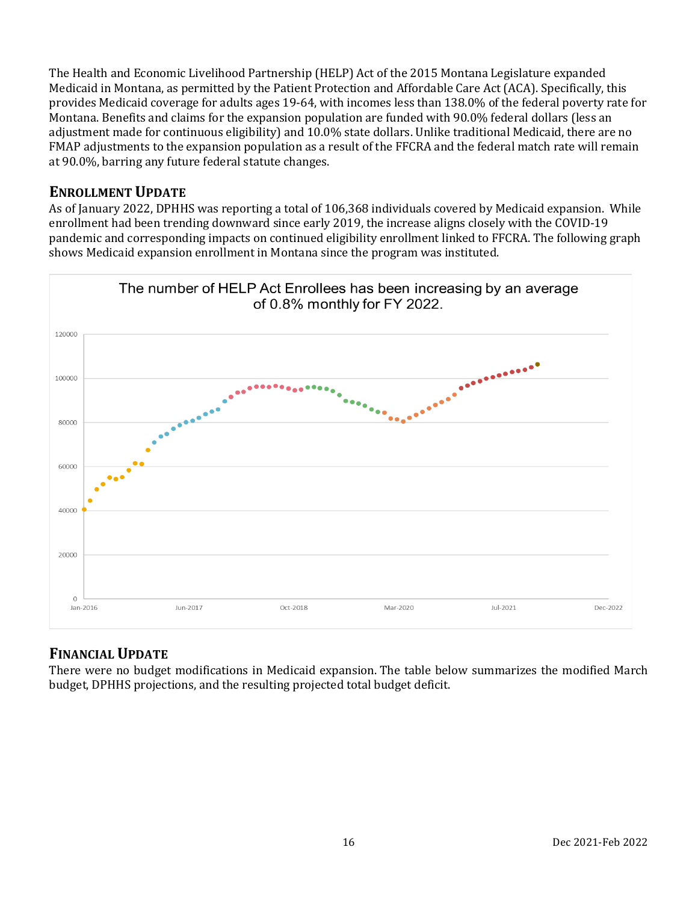The Health and Economic Livelihood Partnership (HELP) Act of the 2015 Montana Legislature expanded Medicaid in Montana, as permitted by the Patient Protection and Affordable Care Act (ACA). Specifically, this provides Medicaid coverage for adults ages 19-64, with incomes less than 138.0% of the federal poverty rate for Montana. Benefits and claims for the expansion population are funded with 90.0% federal dollars (less an adjustment made for continuous eligibility) and 10.0% state dollars. Unlike traditional Medicaid, there are no FMAP adjustments to the expansion population as a result of the FFCRA and the federal match rate will remain at 90.0%, barring any future federal statute changes.

# **ENROLLMENT UPDATE**

As of January 2022, DPHHS was reporting a total of 106,368 individuals covered by Medicaid expansion. While enrollment had been trending downward since early 2019, the increase aligns closely with the COVID-19 pandemic and corresponding impacts on continued eligibility enrollment linked to FFCRA. The following graph shows Medicaid expansion enrollment in Montana since the program was instituted.



# **FINANCIAL UPDATE**

There were no budget modifications in Medicaid expansion. The table below summarizes the modified March budget, DPHHS projections, and the resulting projected total budget deficit.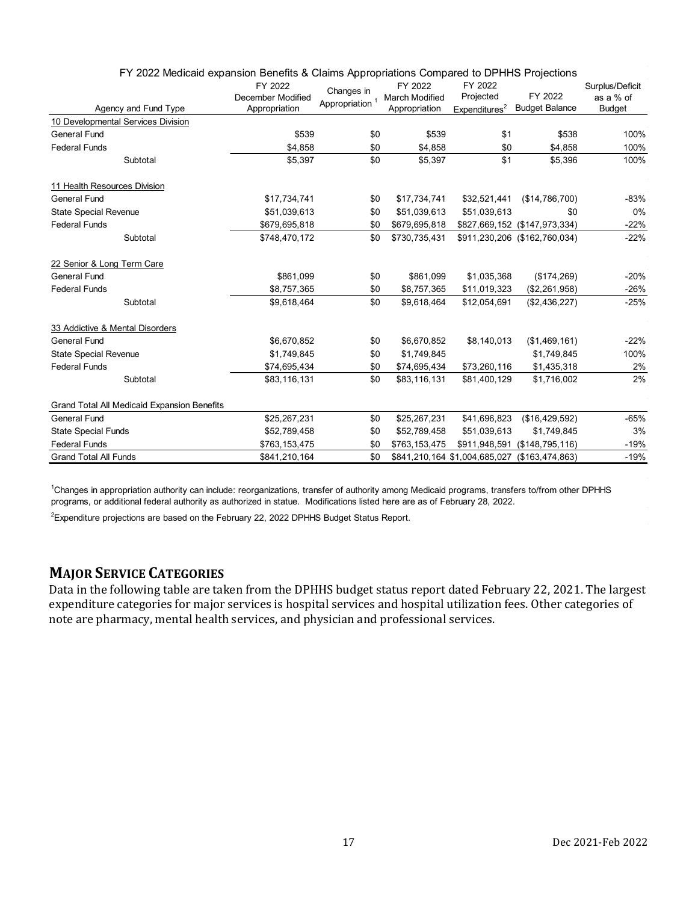| Agency and Fund Type                        | FY 2022<br>December Modified<br>Appropriation | Changes in<br>Appropriation <sup>1</sup> | FY 2022<br><b>March Modified</b><br>Appropriation | FY 2022<br>Projected<br>Expenditures <sup>2</sup> | FY 2022<br><b>Budget Balance</b> | Surplus/Deficit<br>as a % of<br><b>Budget</b> |
|---------------------------------------------|-----------------------------------------------|------------------------------------------|---------------------------------------------------|---------------------------------------------------|----------------------------------|-----------------------------------------------|
| 10 Developmental Services Division          |                                               |                                          |                                                   |                                                   |                                  |                                               |
| <b>General Fund</b>                         | \$539                                         | \$0                                      | \$539                                             | \$1                                               | \$538                            | 100%                                          |
| <b>Federal Funds</b>                        | \$4,858                                       | \$0                                      | \$4,858                                           | \$0                                               | \$4,858                          | 100%                                          |
| Subtotal                                    | \$5,397                                       | \$0                                      | \$5.397                                           | \$1                                               | \$5,396                          | 100%                                          |
| 11 Health Resources Division                |                                               |                                          |                                                   |                                                   |                                  |                                               |
| <b>General Fund</b>                         | \$17,734,741                                  | \$0                                      | \$17,734,741                                      | \$32,521,441                                      | (\$14,786,700)                   | -83%                                          |
| <b>State Special Revenue</b>                | \$51,039,613                                  | \$0                                      | \$51,039,613                                      | \$51,039,613                                      | \$0                              | 0%                                            |
| <b>Federal Funds</b>                        | \$679,695,818                                 | \$0                                      | \$679,695,818                                     |                                                   | \$827,669,152 (\$147,973,334)    | $-22%$                                        |
| Subtotal                                    | \$748,470,172                                 | \$0                                      | \$730,735,431                                     |                                                   | \$911,230,206 (\$162,760,034)    | $-22%$                                        |
| 22 Senior & Long Term Care                  |                                               |                                          |                                                   |                                                   |                                  |                                               |
| <b>General Fund</b>                         | \$861,099                                     | \$0                                      | \$861,099                                         | \$1,035,368                                       | (\$174,269)                      | $-20%$                                        |
| <b>Federal Funds</b>                        | \$8,757,365                                   | \$0                                      | \$8,757,365                                       | \$11,019,323                                      | (\$2,261,958)                    | $-26%$                                        |
| Subtotal                                    | \$9,618,464                                   | \$0                                      | \$9,618,464                                       | \$12,054,691                                      | (\$2,436,227)                    | $-25%$                                        |
| 33 Addictive & Mental Disorders             |                                               |                                          |                                                   |                                                   |                                  |                                               |
| <b>General Fund</b>                         | \$6,670,852                                   | \$0                                      | \$6,670,852                                       | \$8,140,013                                       | (\$1,469,161)                    | $-22%$                                        |
| <b>State Special Revenue</b>                | \$1,749,845                                   | \$0                                      | \$1,749,845                                       |                                                   | \$1,749,845                      | 100%                                          |
| <b>Federal Funds</b>                        | \$74,695,434                                  | \$0                                      | \$74,695,434                                      | \$73,260,116                                      | \$1,435,318                      | 2%                                            |
| Subtotal                                    | \$83,116,131                                  | \$0                                      | \$83,116,131                                      | \$81,400,129                                      | \$1,716,002                      | 2%                                            |
| Grand Total All Medicaid Expansion Benefits |                                               |                                          |                                                   |                                                   |                                  |                                               |
| <b>General Fund</b>                         | \$25,267,231                                  | \$0                                      | \$25,267,231                                      | \$41,696,823                                      | (\$16,429,592)                   | $-65%$                                        |
| <b>State Special Funds</b>                  | \$52,789,458                                  | \$0                                      | \$52,789,458                                      | \$51,039,613                                      | \$1,749,845                      | 3%                                            |
| <b>Federal Funds</b>                        | \$763,153,475                                 | \$0                                      | \$763,153,475                                     | \$911,948,591                                     | (\$148,795,116)                  | $-19%$                                        |
| <b>Grand Total All Funds</b>                | \$841,210,164                                 | \$0                                      |                                                   | \$841,210,164 \$1,004,685,027                     | (\$163,474,863)                  | $-19%$                                        |

FY 2022 Medicaid expansion Benefits & Claims Appropriations Compared to DPHHS Projections

1 Changes in appropriation authority can include: reorganizations, transfer of authority among Medicaid programs, transfers to/from other DPHHS programs, or additional federal authority as authorized in statue. Modifications listed here are as of February 28, 2022.

 $^2$ Expenditure projections are based on the February 22, 2022 DPHHS Budget Status Report.

# **MAJOR SERVICE CATEGORIES**

Data in the following table are taken from the DPHHS budget status report dated February 22, 2021. The largest expenditure categories for major services is hospital services and hospital utilization fees. Other categories of note are pharmacy, mental health services, and physician and professional services.